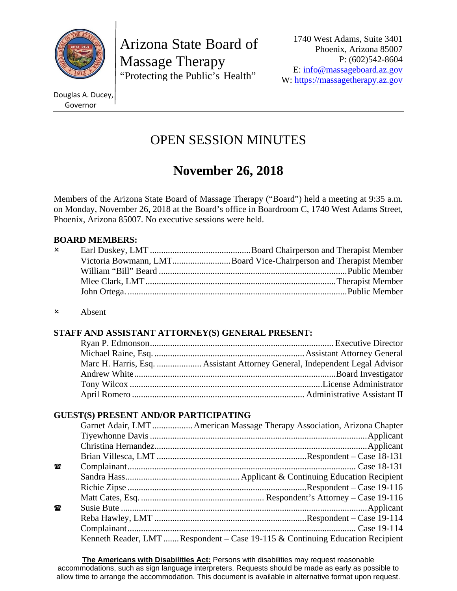

Arizona State Board of Massage Therapy "Protecting the Public's Health"

1740 West Adams, Suite 3401 Phoenix, Arizona 85007 P: (602)542-8604 E: info@massageboard.az.gov W: https://massagetherapy.az.gov

Douglas A. Ducey, Governor

# OPEN SESSION MINUTES

# **November 26, 2018**

Members of the Arizona State Board of Massage Therapy ("Board") held a meeting at 9:35 a.m. on Monday, November 26, 2018 at the Board's office in Boardroom C, 1740 West Adams Street, Phoenix, Arizona 85007. No executive sessions were held.

# **BOARD MEMBERS:**

| $\mathsf{x}$ |                                                                  |
|--------------|------------------------------------------------------------------|
|              | Victoria Bowmann, LMTBoard Vice-Chairperson and Therapist Member |
|              |                                                                  |
|              |                                                                  |
|              |                                                                  |
|              |                                                                  |

Absent

# **STAFF AND ASSISTANT ATTORNEY(S) GENERAL PRESENT:**

# **GUEST(S) PRESENT AND/OR PARTICIPATING**

| Garnet Adair, LMT  American Massage Therapy Association, Arizona Chapter      |
|-------------------------------------------------------------------------------|
|                                                                               |
|                                                                               |
|                                                                               |
|                                                                               |
|                                                                               |
|                                                                               |
|                                                                               |
|                                                                               |
|                                                                               |
|                                                                               |
| Kenneth Reader, LMT Respondent – Case 19-115 & Continuing Education Recipient |
|                                                                               |

**The Americans with Disabilities Act:** Persons with disabilities may request reasonable accommodations, such as sign language interpreters. Requests should be made as early as possible to allow time to arrange the accommodation. This document is available in alternative format upon request.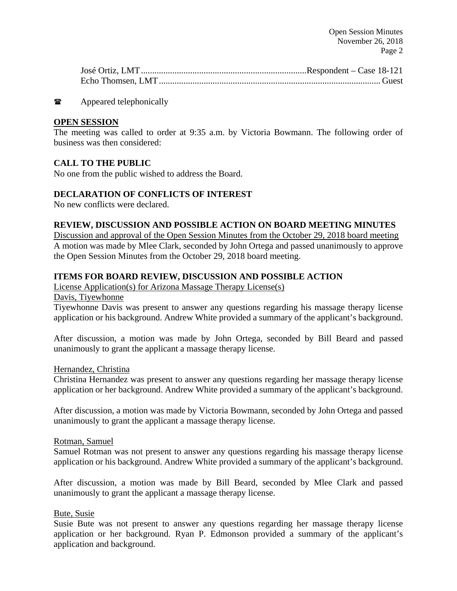$\bullet$  Appeared telephonically

# **OPEN SESSION**

The meeting was called to order at 9:35 a.m. by Victoria Bowmann. The following order of business was then considered:

# **CALL TO THE PUBLIC**

No one from the public wished to address the Board.

# **DECLARATION OF CONFLICTS OF INTEREST**

No new conflicts were declared.

#### **REVIEW, DISCUSSION AND POSSIBLE ACTION ON BOARD MEETING MINUTES**

Discussion and approval of the Open Session Minutes from the October 29, 2018 board meeting A motion was made by Mlee Clark, seconded by John Ortega and passed unanimously to approve the Open Session Minutes from the October 29, 2018 board meeting.

# **ITEMS FOR BOARD REVIEW, DISCUSSION AND POSSIBLE ACTION**

License Application(s) for Arizona Massage Therapy License(s)

Davis, Tiyewhonne

Tiyewhonne Davis was present to answer any questions regarding his massage therapy license application or his background. Andrew White provided a summary of the applicant's background.

After discussion, a motion was made by John Ortega, seconded by Bill Beard and passed unanimously to grant the applicant a massage therapy license.

#### Hernandez, Christina

Christina Hernandez was present to answer any questions regarding her massage therapy license application or her background. Andrew White provided a summary of the applicant's background.

After discussion, a motion was made by Victoria Bowmann, seconded by John Ortega and passed unanimously to grant the applicant a massage therapy license.

#### Rotman, Samuel

Samuel Rotman was not present to answer any questions regarding his massage therapy license application or his background. Andrew White provided a summary of the applicant's background.

After discussion, a motion was made by Bill Beard, seconded by Mlee Clark and passed unanimously to grant the applicant a massage therapy license.

#### Bute, Susie

Susie Bute was not present to answer any questions regarding her massage therapy license application or her background. Ryan P. Edmonson provided a summary of the applicant's application and background.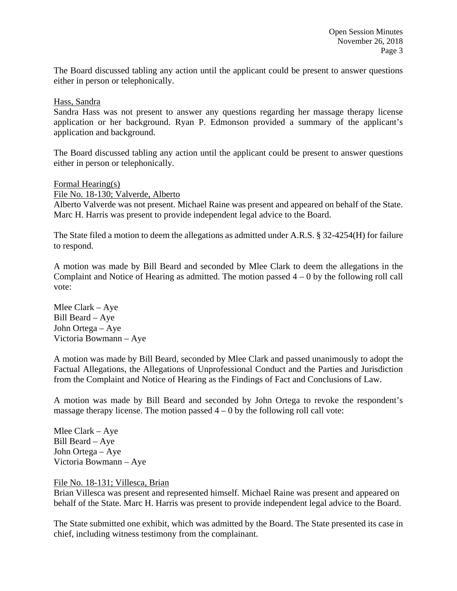The Board discussed tabling any action until the applicant could be present to answer questions either in person or telephonically.

Hass, Sandra

Sandra Hass was not present to answer any questions regarding her massage therapy license application or her background. Ryan P. Edmonson provided a summary of the applicant's application and background.

The Board discussed tabling any action until the applicant could be present to answer questions either in person or telephonically.

Formal Hearing(s)

File No. 18-130; Valverde, Alberto

Alberto Valverde was not present. Michael Raine was present and appeared on behalf of the State. Marc H. Harris was present to provide independent legal advice to the Board.

The State filed a motion to deem the allegations as admitted under A.R.S. § 32-4254(H) for failure to respond.

A motion was made by Bill Beard and seconded by Mlee Clark to deem the allegations in the Complaint and Notice of Hearing as admitted. The motion passed  $4 - 0$  by the following roll call vote:

Mlee Clark – Aye Bill Beard – Aye John Ortega – Aye Victoria Bowmann – Aye

A motion was made by Bill Beard, seconded by Mlee Clark and passed unanimously to adopt the Factual Allegations, the Allegations of Unprofessional Conduct and the Parties and Jurisdiction from the Complaint and Notice of Hearing as the Findings of Fact and Conclusions of Law.

A motion was made by Bill Beard and seconded by John Ortega to revoke the respondent's massage therapy license. The motion passed  $4 - 0$  by the following roll call vote:

Mlee Clark – Aye Bill Beard – Aye John Ortega – Aye Victoria Bowmann – Aye

File No. 18-131; Villesca, Brian

Brian Villesca was present and represented himself. Michael Raine was present and appeared on behalf of the State. Marc H. Harris was present to provide independent legal advice to the Board.

The State submitted one exhibit, which was admitted by the Board. The State presented its case in chief, including witness testimony from the complainant.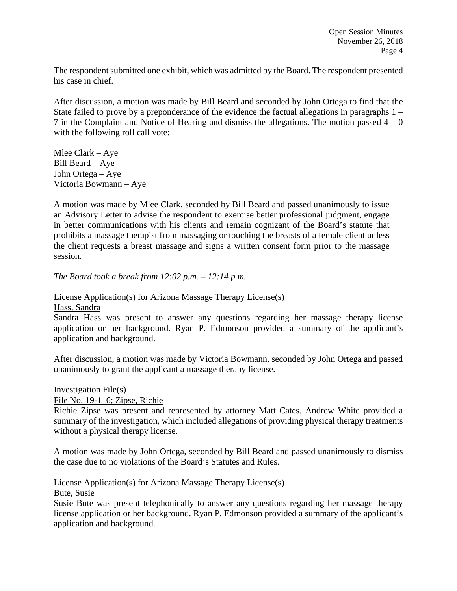The respondent submitted one exhibit, which was admitted by the Board. The respondent presented his case in chief.

After discussion, a motion was made by Bill Beard and seconded by John Ortega to find that the State failed to prove by a preponderance of the evidence the factual allegations in paragraphs 1 – 7 in the Complaint and Notice of Hearing and dismiss the allegations. The motion passed  $4 - 0$ with the following roll call vote:

Mlee Clark – Aye Bill Beard – Aye John Ortega – Aye Victoria Bowmann – Aye

A motion was made by Mlee Clark, seconded by Bill Beard and passed unanimously to issue an Advisory Letter to advise the respondent to exercise better professional judgment, engage in better communications with his clients and remain cognizant of the Board's statute that prohibits a massage therapist from massaging or touching the breasts of a female client unless the client requests a breast massage and signs a written consent form prior to the massage session.

*The Board took a break from 12:02 p.m. – 12:14 p.m.*

License Application(s) for Arizona Massage Therapy License(s)

#### Hass, Sandra

Sandra Hass was present to answer any questions regarding her massage therapy license application or her background. Ryan P. Edmonson provided a summary of the applicant's application and background.

After discussion, a motion was made by Victoria Bowmann, seconded by John Ortega and passed unanimously to grant the applicant a massage therapy license.

Investigation File(s)

#### File No. 19-116; Zipse, Richie

Richie Zipse was present and represented by attorney Matt Cates. Andrew White provided a summary of the investigation, which included allegations of providing physical therapy treatments without a physical therapy license.

A motion was made by John Ortega, seconded by Bill Beard and passed unanimously to dismiss the case due to no violations of the Board's Statutes and Rules.

# License Application(s) for Arizona Massage Therapy License(s)

#### Bute, Susie

Susie Bute was present telephonically to answer any questions regarding her massage therapy license application or her background. Ryan P. Edmonson provided a summary of the applicant's application and background.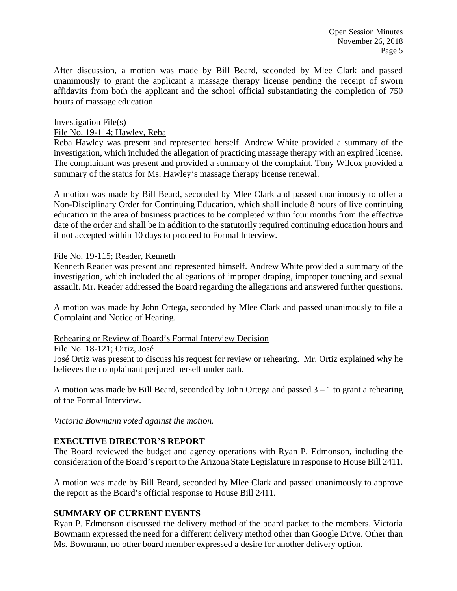Open Session Minutes November 26, 2018 Page 5

After discussion, a motion was made by Bill Beard, seconded by Mlee Clark and passed unanimously to grant the applicant a massage therapy license pending the receipt of sworn affidavits from both the applicant and the school official substantiating the completion of 750 hours of massage education.

#### Investigation File(s)

#### File No. 19-114; Hawley, Reba

Reba Hawley was present and represented herself. Andrew White provided a summary of the investigation, which included the allegation of practicing massage therapy with an expired license. The complainant was present and provided a summary of the complaint. Tony Wilcox provided a summary of the status for Ms. Hawley's massage therapy license renewal.

A motion was made by Bill Beard, seconded by Mlee Clark and passed unanimously to offer a Non-Disciplinary Order for Continuing Education, which shall include 8 hours of live continuing education in the area of business practices to be completed within four months from the effective date of the order and shall be in addition to the statutorily required continuing education hours and if not accepted within 10 days to proceed to Formal Interview.

#### File No. 19-115; Reader, Kenneth

Kenneth Reader was present and represented himself. Andrew White provided a summary of the investigation, which included the allegations of improper draping, improper touching and sexual assault. Mr. Reader addressed the Board regarding the allegations and answered further questions.

A motion was made by John Ortega, seconded by Mlee Clark and passed unanimously to file a Complaint and Notice of Hearing.

#### Rehearing or Review of Board's Formal Interview Decision

#### File No. 18-121; Ortiz, José

José Ortiz was present to discuss his request for review or rehearing. Mr. Ortiz explained why he believes the complainant perjured herself under oath.

A motion was made by Bill Beard, seconded by John Ortega and passed  $3 - 1$  to grant a rehearing of the Formal Interview.

*Victoria Bowmann voted against the motion.*

#### **EXECUTIVE DIRECTOR'S REPORT**

The Board reviewed the budget and agency operations with Ryan P. Edmonson, including the consideration of the Board's report to the Arizona State Legislature in response to House Bill 2411.

A motion was made by Bill Beard, seconded by Mlee Clark and passed unanimously to approve the report as the Board's official response to House Bill 2411.

#### **SUMMARY OF CURRENT EVENTS**

Ryan P. Edmonson discussed the delivery method of the board packet to the members. Victoria Bowmann expressed the need for a different delivery method other than Google Drive. Other than Ms. Bowmann, no other board member expressed a desire for another delivery option.